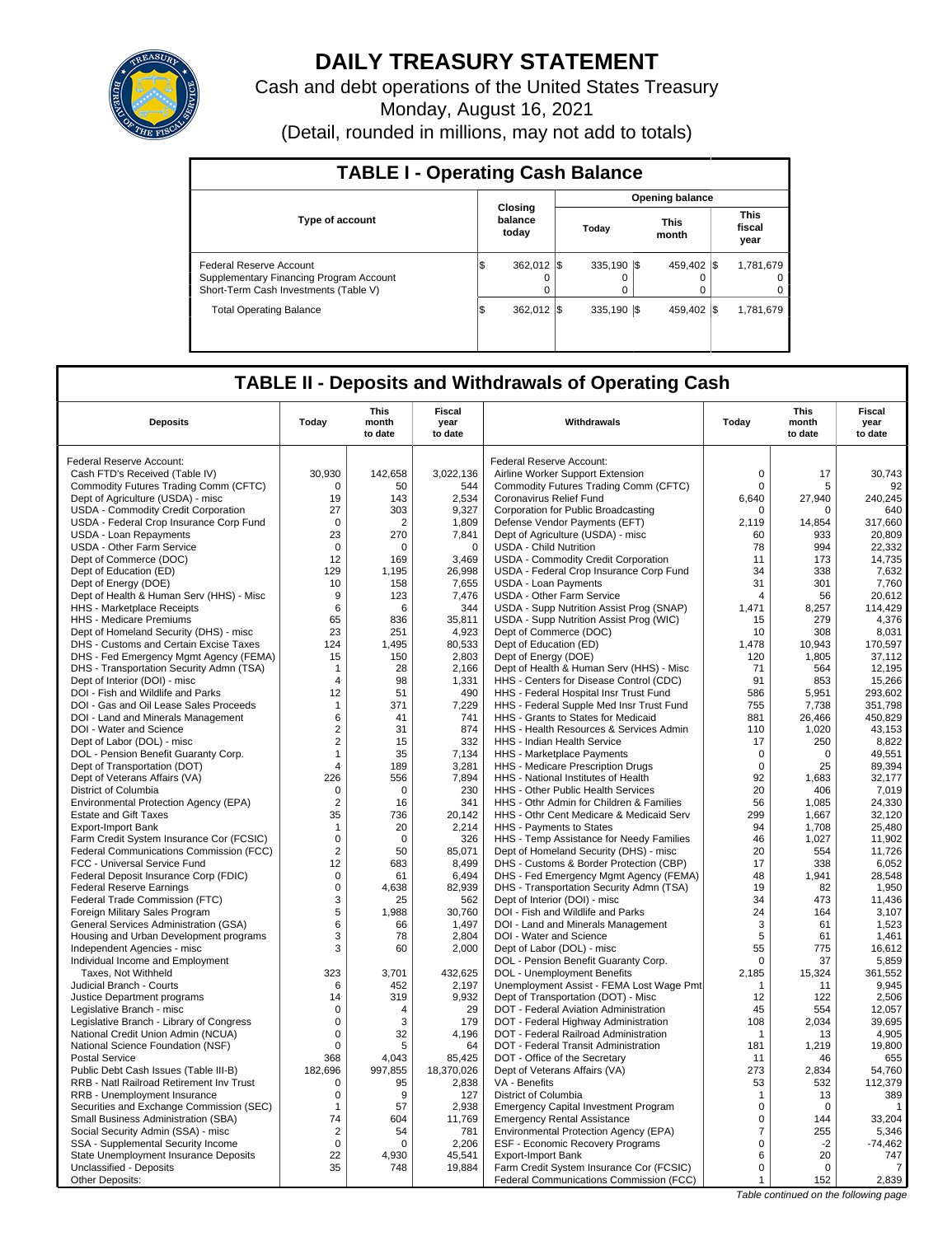

# **DAILY TREASURY STATEMENT**

Cash and debt operations of the United States Treasury Monday, August 16, 2021

(Detail, rounded in millions, may not add to totals)

| <b>TABLE I - Operating Cash Balance</b>                                                                     |                             |                              |  |                  |  |                        |                               |                     |  |  |  |  |
|-------------------------------------------------------------------------------------------------------------|-----------------------------|------------------------------|--|------------------|--|------------------------|-------------------------------|---------------------|--|--|--|--|
|                                                                                                             |                             |                              |  |                  |  | <b>Opening balance</b> |                               |                     |  |  |  |  |
| <b>Type of account</b>                                                                                      | Closing<br>balance<br>today |                              |  | Today            |  | <b>This</b><br>month   | <b>This</b><br>fiscal<br>year |                     |  |  |  |  |
| Federal Reserve Account<br>Supplementary Financing Program Account<br>Short-Term Cash Investments (Table V) | 1\$                         | 362.012 \\$<br>$\Omega$<br>0 |  | 335.190 \\$<br>0 |  | 459.402 \$             |                               | 1,781,679<br>0<br>0 |  |  |  |  |
| <b>Total Operating Balance</b>                                                                              | 1\$                         | 362.012 \\$                  |  | 335.190 \\$      |  | 459.402 \$             |                               | 1,781,679           |  |  |  |  |

## **TABLE II - Deposits and Withdrawals of Operating Cash**

| <b>Deposits</b>                                                  | Today          | <b>This</b><br>month<br>to date | <b>Fiscal</b><br>year<br>to date | Withdrawals                                                                         | Today          | <b>This</b><br>month<br>to date | Fiscal<br>year<br>to date |
|------------------------------------------------------------------|----------------|---------------------------------|----------------------------------|-------------------------------------------------------------------------------------|----------------|---------------------------------|---------------------------|
| Federal Reserve Account:                                         |                |                                 |                                  | Federal Reserve Account:                                                            |                |                                 |                           |
| Cash FTD's Received (Table IV)                                   | 30,930         | 142,658                         | 3,022,136                        | Airline Worker Support Extension                                                    | $\mathbf 0$    | 17                              | 30.743                    |
| Commodity Futures Trading Comm (CFTC)                            | $\Omega$       | 50                              | 544                              | Commodity Futures Trading Comm (CFTC)                                               | $\mathbf 0$    | 5                               | 92                        |
| Dept of Agriculture (USDA) - misc                                | 19             | 143                             | 2.534                            | Coronavirus Relief Fund                                                             | 6.640          | 27.940                          | 240.245                   |
| USDA - Commodity Credit Corporation                              | 27             | 303                             | 9,327                            | Corporation for Public Broadcasting                                                 | $\mathbf 0$    | 0                               | 640                       |
| USDA - Federal Crop Insurance Corp Fund                          | $\mathbf 0$    | $\overline{2}$                  | 1.809                            | Defense Vendor Payments (EFT)                                                       | 2.119          | 14.854                          | 317,660                   |
| USDA - Loan Repayments                                           | 23             | 270                             | 7,841                            | Dept of Agriculture (USDA) - misc                                                   | 60             | 933                             | 20,809                    |
| <b>USDA - Other Farm Service</b>                                 | $\mathbf 0$    | $\Omega$                        | $\mathbf 0$                      | <b>USDA - Child Nutrition</b>                                                       | 78             | 994                             | 22,332                    |
| Dept of Commerce (DOC)                                           | 12             | 169                             | 3,469                            | USDA - Commodity Credit Corporation                                                 | 11             | 173                             | 14,735                    |
| Dept of Education (ED)                                           | 129            | 1,195                           | 26,998                           | USDA - Federal Crop Insurance Corp Fund                                             | 34             | 338                             | 7,632                     |
| Dept of Energy (DOE)                                             | 10             | 158                             | 7.655                            | USDA - Loan Payments                                                                | 31             | 301                             | 7.760                     |
| Dept of Health & Human Serv (HHS) - Misc                         | 9              | 123                             | 7,476                            | <b>USDA - Other Farm Service</b>                                                    | $\overline{4}$ | 56                              | 20,612                    |
| HHS - Marketplace Receipts                                       | 6              | 6                               | 344                              | USDA - Supp Nutrition Assist Prog (SNAP)                                            | 1.471          | 8,257                           | 114,429                   |
| HHS - Medicare Premiums                                          | 65             | 836                             | 35,811                           | USDA - Supp Nutrition Assist Prog (WIC)                                             | 15             | 279                             | 4,376                     |
| Dept of Homeland Security (DHS) - misc                           | 23             | 251                             | 4,923                            | Dept of Commerce (DOC)                                                              | 10             | 308                             | 8,031                     |
| DHS - Customs and Certain Excise Taxes                           | 124            | 1,495                           | 80,533                           | Dept of Education (ED)                                                              | 1,478          | 10,943                          | 170,597                   |
| DHS - Fed Emergency Mgmt Agency (FEMA)                           | 15             | 150                             | 2,803                            | Dept of Energy (DOE)                                                                | 120            | 1,805                           | 37,112                    |
| DHS - Transportation Security Admn (TSA)                         | $\mathbf{1}$   | 28                              | 2,166                            | Dept of Health & Human Serv (HHS) - Misc                                            | 71             | 564                             | 12,195                    |
| Dept of Interior (DOI) - misc                                    | $\overline{4}$ | 98                              | 1,331                            | HHS - Centers for Disease Control (CDC)                                             | 91             | 853                             | 15,266                    |
| DOI - Fish and Wildlife and Parks                                | 12             | 51                              | 490                              | HHS - Federal Hospital Insr Trust Fund                                              | 586            | 5,951                           | 293,602                   |
| DOI - Gas and Oil Lease Sales Proceeds                           | $\mathbf{1}$   | 371                             | 7,229                            | HHS - Federal Supple Med Insr Trust Fund                                            | 755            | 7,738                           | 351,798                   |
| DOI - Land and Minerals Management                               | 6              | 41                              | 741                              | HHS - Grants to States for Medicaid                                                 | 881            | 26,466                          | 450,829                   |
| DOI - Water and Science                                          | $\overline{2}$ | 31                              | 874                              | HHS - Health Resources & Services Admin                                             | 110            | 1,020                           | 43,153                    |
| Dept of Labor (DOL) - misc                                       | $\overline{2}$ | 15                              | 332                              | <b>HHS - Indian Health Service</b>                                                  | 17             | 250                             | 8,822                     |
| DOL - Pension Benefit Guaranty Corp.                             | $\mathbf{1}$   | 35                              | 7,134                            | HHS - Marketplace Payments                                                          | $\mathbf 0$    | $\mathbf 0$                     | 49,551                    |
| Dept of Transportation (DOT)                                     | $\overline{4}$ | 189                             | 3,281                            | HHS - Medicare Prescription Drugs                                                   | $\mathbf 0$    | 25                              | 89,394                    |
| Dept of Veterans Affairs (VA)                                    | 226            | 556                             | 7,894                            | HHS - National Institutes of Health                                                 | 92             | 1,683                           | 32,177                    |
| District of Columbia                                             | 0              | $\mathbf 0$                     | 230                              | <b>HHS - Other Public Health Services</b>                                           | 20             | 406                             | 7.019                     |
| Environmental Protection Agency (EPA)                            | $\overline{2}$ | 16                              | 341                              | HHS - Othr Admin for Children & Families                                            | 56             | 1,085                           | 24,330                    |
| <b>Estate and Gift Taxes</b>                                     | 35             | 736                             | 20.142                           | HHS - Othr Cent Medicare & Medicaid Serv                                            | 299            | 1.667                           | 32.120                    |
| <b>Export-Import Bank</b>                                        | $\mathbf{1}$   | 20                              | 2,214                            | HHS - Payments to States                                                            | 94             | 1,708                           | 25,480                    |
| Farm Credit System Insurance Cor (FCSIC)                         | $\mathbf 0$    | $\Omega$                        | 326                              | HHS - Temp Assistance for Needy Families                                            | 46             | 1,027                           | 11,902                    |
| Federal Communications Commission (FCC)                          | $\overline{2}$ | 50                              | 85,071                           | Dept of Homeland Security (DHS) - misc                                              | 20             | 554                             | 11,726                    |
| FCC - Universal Service Fund                                     | 12             | 683                             | 8,499                            | DHS - Customs & Border Protection (CBP)                                             | 17             | 338                             | 6,052                     |
| Federal Deposit Insurance Corp (FDIC)                            | 0              | 61                              | 6.494                            | DHS - Fed Emergency Mgmt Agency (FEMA)                                              | 48             | 1.941                           | 28.548                    |
| <b>Federal Reserve Earnings</b>                                  | $\pmb{0}$      | 4,638                           | 82,939                           | DHS - Transportation Security Admn (TSA)                                            | 19             | 82                              | 1,950                     |
| Federal Trade Commission (FTC)                                   | 3              | 25                              | 562                              | Dept of Interior (DOI) - misc                                                       | 34             | 473                             | 11,436                    |
| Foreign Military Sales Program                                   | 5              | 1,988                           | 30,760                           | DOI - Fish and Wildlife and Parks                                                   | 24             | 164                             | 3,107                     |
| General Services Administration (GSA)                            | 6              | 66                              | 1,497                            | DOI - Land and Minerals Management                                                  | 3              | 61                              | 1,523                     |
| Housing and Urban Development programs                           | 3              | 78                              | 2,804                            | DOI - Water and Science                                                             | 5              | 61                              | 1,461                     |
| Independent Agencies - misc                                      | 3              | 60                              | 2,000                            | Dept of Labor (DOL) - misc                                                          | 55             | 775                             | 16,612                    |
| Individual Income and Employment                                 |                |                                 |                                  | DOL - Pension Benefit Guaranty Corp.                                                | $\mathbf 0$    | 37                              | 5,859                     |
| Taxes, Not Withheld                                              | 323            | 3,701                           | 432,625                          | DOL - Unemployment Benefits                                                         | 2,185          | 15,324                          | 361,552                   |
| Judicial Branch - Courts                                         | 6              | 452                             | 2,197                            | Unemployment Assist - FEMA Lost Wage Pmt                                            | $\mathbf{1}$   | 11                              | 9,945                     |
| Justice Department programs                                      | 14             | 319                             | 9,932                            | Dept of Transportation (DOT) - Misc                                                 | 12             | 122                             | 2,506                     |
| Legislative Branch - misc                                        | $\mathsf 0$    | $\overline{4}$                  | 29                               | DOT - Federal Aviation Administration                                               | 45             | 554                             | 12,057                    |
| Legislative Branch - Library of Congress                         | $\mathbf 0$    | 3                               | 179                              | DOT - Federal Highway Administration                                                | 108            | 2.034                           | 39.695                    |
| National Credit Union Admin (NCUA)                               | $\mathsf 0$    | 32                              | 4,196                            | DOT - Federal Railroad Administration                                               | 1              | 13                              | 4,905                     |
| National Science Foundation (NSF)                                | $\mathbf 0$    | 5                               | 64                               | DOT - Federal Transit Administration                                                | 181            | 1,219                           | 19,800                    |
| <b>Postal Service</b>                                            | 368            | 4.043                           | 85,425                           | DOT - Office of the Secretary                                                       | 11             | 46                              | 655                       |
| Public Debt Cash Issues (Table III-B)                            | 182,696        | 997,855                         | 18,370,026                       | Dept of Veterans Affairs (VA)                                                       | 273            | 2,834                           | 54,760                    |
| <b>RRB - Natl Railroad Retirement Inv Trust</b>                  | 0              | 95                              | 2.838                            | VA - Benefits                                                                       | 53             | 532                             | 112.379                   |
| RRB - Unemployment Insurance                                     | $\mathsf 0$    | 9                               | 127                              | District of Columbia                                                                | $\mathbf{1}$   | 13                              | 389                       |
| Securities and Exchange Commission (SEC)                         | $\overline{1}$ | 57                              | 2,938                            | <b>Emergency Capital Investment Program</b>                                         | $\Omega$       | $\Omega$                        | -1                        |
| Small Business Administration (SBA)                              | 74             | 604                             | 11,769                           | <b>Emergency Rental Assistance</b>                                                  | $\mathsf 0$    | 144                             | 33,204                    |
| Social Security Admin (SSA) - misc                               | $\overline{2}$ | 54                              | 781                              | Environmental Protection Agency (EPA)                                               | $\overline{7}$ | 255                             | 5,346                     |
| SSA - Supplemental Security Income                               | $\mathsf 0$    | $\mathbf 0$                     | 2,206                            | ESF - Economic Recovery Programs                                                    | $\mathsf 0$    | $-2$                            | $-74,462$                 |
| State Unemployment Insurance Deposits<br>Unclassified - Deposits | 22<br>35       | 4,930<br>748                    | 45,541<br>19,884                 | <b>Export-Import Bank</b>                                                           | 6<br>$\Omega$  | 20<br>$\Omega$                  | 747<br>$\overline{7}$     |
| Other Deposits:                                                  |                |                                 |                                  | Farm Credit System Insurance Cor (FCSIC)<br>Federal Communications Commission (FCC) | $\mathbf{1}$   | 152                             | 2,839                     |
|                                                                  |                |                                 |                                  |                                                                                     |                |                                 |                           |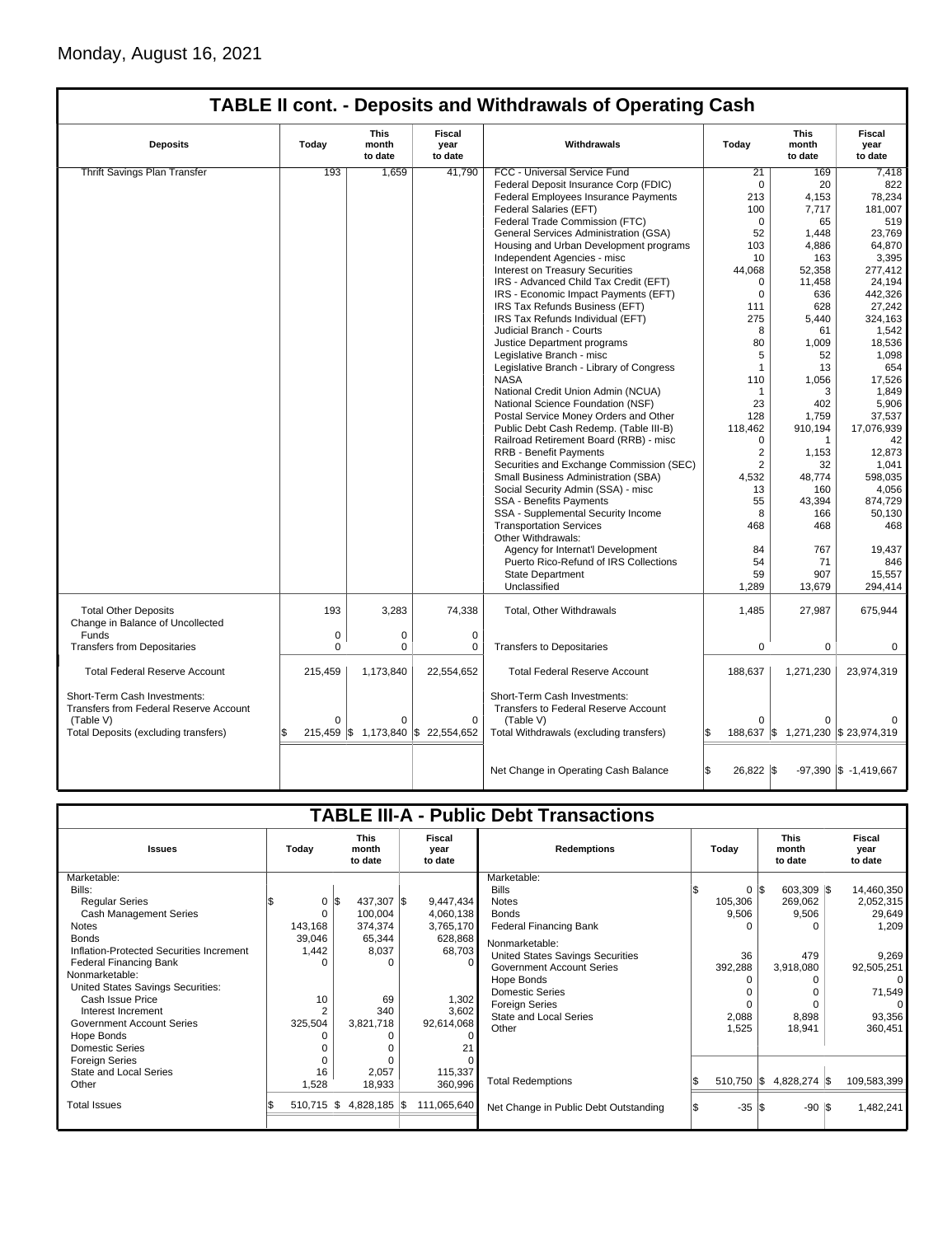|                                                                        |             |                                 |                                    | <b>TABLE II cont. - Deposits and Withdrawals of Operating Cash</b>   |                 |                                    |                                  |
|------------------------------------------------------------------------|-------------|---------------------------------|------------------------------------|----------------------------------------------------------------------|-----------------|------------------------------------|----------------------------------|
| <b>Deposits</b>                                                        | Today       | <b>This</b><br>month<br>to date | Fiscal<br>year<br>to date          | Withdrawals                                                          | Today           | This<br>month<br>to date           | <b>Fiscal</b><br>year<br>to date |
| <b>Thrift Savings Plan Transfer</b>                                    | 193         | 1.659                           | 41.790                             | FCC - Universal Service Fund                                         | 21              | 169                                | 7.418                            |
|                                                                        |             |                                 |                                    | Federal Deposit Insurance Corp (FDIC)                                | $\mathbf 0$     | 20                                 | 822                              |
|                                                                        |             |                                 |                                    | Federal Employees Insurance Payments                                 | 213             | 4,153                              | 78,234                           |
|                                                                        |             |                                 |                                    | Federal Salaries (EFT)                                               | 100             | 7,717                              | 181,007                          |
|                                                                        |             |                                 |                                    | Federal Trade Commission (FTC)                                       | $\Omega$        | 65                                 | 519                              |
|                                                                        |             |                                 |                                    | General Services Administration (GSA)                                | 52              | 1,448                              | 23,769                           |
|                                                                        |             |                                 |                                    | Housing and Urban Development programs                               | 103             | 4,886                              | 64,870                           |
|                                                                        |             |                                 |                                    | Independent Agencies - misc                                          | 10              | 163                                | 3,395                            |
|                                                                        |             |                                 |                                    | <b>Interest on Treasury Securities</b>                               | 44,068          | 52,358                             | 277,412                          |
|                                                                        |             |                                 |                                    | IRS - Advanced Child Tax Credit (EFT)                                | $\mathbf 0$     | 11,458                             | 24,194                           |
|                                                                        |             |                                 |                                    | IRS - Economic Impact Payments (EFT)                                 | $\Omega$        | 636                                | 442,326                          |
|                                                                        |             |                                 |                                    | IRS Tax Refunds Business (EFT)                                       | 111             | 628                                | 27,242                           |
|                                                                        |             |                                 |                                    |                                                                      |                 |                                    |                                  |
|                                                                        |             |                                 |                                    | IRS Tax Refunds Individual (EFT)                                     | 275             | 5,440                              | 324,163                          |
|                                                                        |             |                                 |                                    | Judicial Branch - Courts                                             | 8<br>80         | 61                                 | 1,542                            |
|                                                                        |             |                                 |                                    | Justice Department programs                                          |                 | 1,009                              | 18,536                           |
|                                                                        |             |                                 |                                    | Legislative Branch - misc                                            | 5               | 52                                 | 1,098                            |
|                                                                        |             |                                 |                                    | Legislative Branch - Library of Congress                             | $\mathbf{1}$    | 13                                 | 654                              |
|                                                                        |             |                                 |                                    | <b>NASA</b>                                                          | 110             | 1.056                              | 17,526                           |
|                                                                        |             |                                 |                                    | National Credit Union Admin (NCUA)                                   | $\mathbf{1}$    | 3                                  | 1,849                            |
|                                                                        |             |                                 |                                    | National Science Foundation (NSF)                                    | 23              | 402                                | 5,906                            |
|                                                                        |             |                                 |                                    | Postal Service Money Orders and Other                                | 128             | 1,759                              | 37,537                           |
|                                                                        |             |                                 |                                    | Public Debt Cash Redemp. (Table III-B)                               | 118,462         | 910,194                            | 17,076,939                       |
|                                                                        |             |                                 |                                    | Railroad Retirement Board (RRB) - misc                               | 0               | 1                                  | 42                               |
|                                                                        |             |                                 |                                    | <b>RRB - Benefit Payments</b>                                        | $\overline{2}$  | 1,153                              | 12,873                           |
|                                                                        |             |                                 |                                    | Securities and Exchange Commission (SEC)                             | $\overline{2}$  | 32                                 | 1,041                            |
|                                                                        |             |                                 |                                    | Small Business Administration (SBA)                                  | 4,532           | 48,774                             | 598,035                          |
|                                                                        |             |                                 |                                    | Social Security Admin (SSA) - misc                                   | 13              | 160                                | 4,056                            |
|                                                                        |             |                                 |                                    | <b>SSA - Benefits Payments</b>                                       | 55              | 43,394                             | 874,729                          |
|                                                                        |             |                                 |                                    | SSA - Supplemental Security Income                                   | 8               | 166                                | 50,130                           |
|                                                                        |             |                                 |                                    | <b>Transportation Services</b>                                       | 468             | 468                                | 468                              |
|                                                                        |             |                                 |                                    | Other Withdrawals:                                                   |                 |                                    |                                  |
|                                                                        |             |                                 |                                    | Agency for Internat'l Development                                    | 84              | 767                                | 19,437                           |
|                                                                        |             |                                 |                                    | Puerto Rico-Refund of IRS Collections                                | 54              | 71                                 | 846                              |
|                                                                        |             |                                 |                                    | State Department                                                     | 59              | 907                                | 15,557                           |
|                                                                        |             |                                 |                                    | Unclassified                                                         | 1,289           | 13,679                             | 294,414                          |
| <b>Total Other Deposits</b><br>Change in Balance of Uncollected        | 193         | 3,283                           | 74,338                             | Total, Other Withdrawals                                             | 1,485           | 27,987                             | 675,944                          |
| Funds                                                                  | $\mathbf 0$ | 0                               | $\mathbf 0$                        |                                                                      |                 |                                    |                                  |
| <b>Transfers from Depositaries</b>                                     | $\mathbf 0$ | 0                               | 0                                  | <b>Transfers to Depositaries</b>                                     | $\mathbf 0$     | 0                                  | 0                                |
| <b>Total Federal Reserve Account</b>                                   | 215,459     | 1,173,840                       | 22,554,652                         | <b>Total Federal Reserve Account</b>                                 | 188,637         | 1,271,230                          | 23,974,319                       |
| Short-Term Cash Investments:<br>Transfers from Federal Reserve Account |             |                                 |                                    | Short-Term Cash Investments:<br>Transfers to Federal Reserve Account |                 |                                    |                                  |
| (Table V)                                                              | $\Omega$    | $\Omega$                        | $\mathbf 0$                        | (Table V)                                                            | $\Omega$        |                                    |                                  |
| Total Deposits (excluding transfers)                                   |             |                                 | 215,459 \$ 1,173,840 \$ 22,554,652 | Total Withdrawals (excluding transfers)                              | \$              | 188,637 \$ 1,271,230 \$ 23,974,319 |                                  |
|                                                                        |             |                                 |                                    | Net Change in Operating Cash Balance                                 | \$<br>26,822 \$ |                                    | $-97,390$ \$ $-1,419,667$        |

|                                          |       |                       |                                 |                           |             | <b>TABLE III-A - Public Debt Transactions</b> |                  |                                 |  |                           |
|------------------------------------------|-------|-----------------------|---------------------------------|---------------------------|-------------|-----------------------------------------------|------------------|---------------------------------|--|---------------------------|
| <b>Issues</b>                            | Today |                       | <b>This</b><br>month<br>to date | Fiscal<br>year<br>to date |             | <b>Redemptions</b>                            | Today            | <b>This</b><br>month<br>to date |  | Fiscal<br>year<br>to date |
| Marketable:                              |       |                       |                                 |                           |             | Marketable:                                   |                  |                                 |  |                           |
| Bills:                                   |       |                       |                                 |                           |             | <b>Bills</b>                                  |                  | $0 \,$ $\upbeta$<br>603,309 \$  |  | 14,460,350                |
| <b>Regular Series</b>                    |       | $0 \,$ $\upbeta$      | 437,307 \$                      |                           | 9,447,434   | <b>Notes</b>                                  | 105,306          | 269,062                         |  | 2,052,315                 |
| <b>Cash Management Series</b>            |       |                       | 100,004                         |                           | 4,060,138   | <b>Bonds</b>                                  | 9,506            | 9,506                           |  | 29,649                    |
| <b>Notes</b>                             |       | 143,168               | 374,374                         |                           | 3,765,170   | <b>Federal Financing Bank</b>                 |                  |                                 |  | 1,209                     |
| <b>Bonds</b>                             |       | 39,046                | 65,344                          |                           | 628,868     | Nonmarketable:                                |                  |                                 |  |                           |
| Inflation-Protected Securities Increment |       | 1,442                 | 8,037                           |                           | 68,703      | United States Savings Securities              | 36               | 479                             |  | 9,269                     |
| Federal Financing Bank                   |       |                       |                                 |                           |             | <b>Government Account Series</b>              | 392,288          | 3,918,080                       |  | 92,505,251                |
| Nonmarketable:                           |       |                       |                                 |                           |             | Hope Bonds                                    |                  |                                 |  |                           |
| United States Savings Securities:        |       |                       |                                 |                           |             | <b>Domestic Series</b>                        |                  |                                 |  | 71,549                    |
| Cash Issue Price                         |       | 10                    | 69                              |                           | 1,302       | <b>Foreign Series</b>                         |                  |                                 |  |                           |
| Interest Increment                       |       | 2                     | 340                             |                           | 3,602       | <b>State and Local Series</b>                 | 2,088            | 8,898                           |  | 93,356                    |
| <b>Government Account Series</b>         |       | 325,504               | 3,821,718                       |                           | 92,614,068  | Other                                         | 1,525            | 18,941                          |  | 360,451                   |
| Hope Bonds                               |       |                       |                                 |                           |             |                                               |                  |                                 |  |                           |
| <b>Domestic Series</b>                   |       |                       |                                 |                           |             |                                               |                  |                                 |  |                           |
| <b>Foreign Series</b>                    |       |                       |                                 |                           |             |                                               |                  |                                 |  |                           |
| State and Local Series                   |       | 16                    | 2,057                           |                           | 115,337     |                                               |                  |                                 |  |                           |
| Other                                    |       | 1,528                 | 18,933                          |                           | 360,996     | <b>Total Redemptions</b>                      | $510,750$ \$     | 4,828,274 \$                    |  | 109,583,399               |
| <b>Total Issues</b>                      |       | $510,715$ $\sqrt{\$}$ | 4,828,185 \$                    |                           | 111,065,640 | Net Change in Public Debt Outstanding         | $-35$ $\sqrt{5}$ | $-90$ $\sqrt{5}$                |  | 1,482,241                 |
|                                          |       |                       |                                 |                           |             |                                               |                  |                                 |  |                           |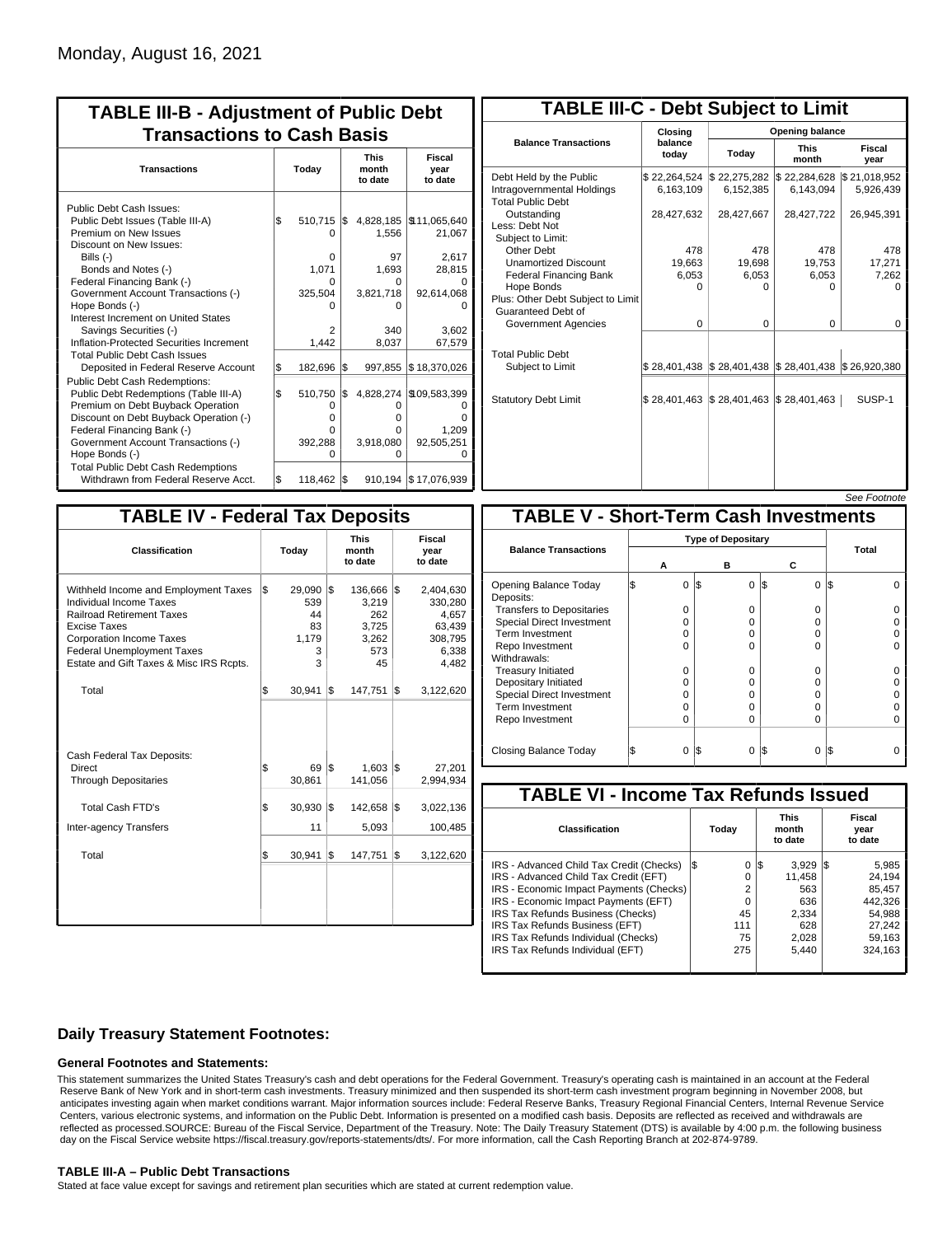| <b>TABLE III-B - Adjustment of Public Debt</b><br><b>Transactions to Cash Basis</b>                                                                                                                                                                                                                                                                                                                                                        |            |                                                                     |            |                                                                        |                                                                                                        |                                 |                                  |  |  |  |
|--------------------------------------------------------------------------------------------------------------------------------------------------------------------------------------------------------------------------------------------------------------------------------------------------------------------------------------------------------------------------------------------------------------------------------------------|------------|---------------------------------------------------------------------|------------|------------------------------------------------------------------------|--------------------------------------------------------------------------------------------------------|---------------------------------|----------------------------------|--|--|--|
| <b>Transactions</b>                                                                                                                                                                                                                                                                                                                                                                                                                        |            | Today                                                               |            |                                                                        |                                                                                                        | <b>This</b><br>month<br>to date | <b>Fiscal</b><br>year<br>to date |  |  |  |
| Public Debt Cash Issues:<br>Public Debt Issues (Table III-A)<br>Premium on New Issues<br>Discount on New Issues:<br>Bills $(-)$<br>Bonds and Notes (-)<br>Federal Financing Bank (-)<br>Government Account Transactions (-)<br>Hope Bonds (-)<br>Interest Increment on United States<br>Savings Securities (-)<br>Inflation-Protected Securities Increment<br><b>Total Public Debt Cash Issues</b><br>Deposited in Federal Reserve Account | \$<br>S.   | 510,715<br>O<br>0<br>1.071<br>n<br>325,504<br>2<br>1,442<br>182,696 | I\$<br>l\$ | 1,556<br>97<br>1,693<br>0<br>3,821,718<br>o<br>340<br>8,037<br>997,855 | 4,828,185   \$11,065,640<br>21,067<br>2,617<br>28,815<br>92,614,068<br>3.602<br>67,579<br>\$18,370,026 |                                 |                                  |  |  |  |
| <b>Public Debt Cash Redemptions:</b><br>Public Debt Redemptions (Table III-A)<br>Premium on Debt Buyback Operation<br>Discount on Debt Buyback Operation (-)<br>Federal Financing Bank (-)<br>Government Account Transactions (-)<br>Hope Bonds (-)<br><b>Total Public Debt Cash Redemptions</b><br>Withdrawn from Federal Reserve Acct.                                                                                                   | l\$<br>l\$ | 510,750<br>0<br>O<br>O<br>392,288<br>O<br>118,462                   | l\$<br>l\$ | 4,828,274<br>O<br>o<br>0<br>3,918,080<br>o                             | \$109,583,399<br>ŋ<br>1,209<br>92,505,251<br>O<br>910.194   \$17,076,939                               |                                 |                                  |  |  |  |

| <b>TABLE III-C - Debt Subject to Limit</b>                                        |                             |                                                                                                     |                           |                           |
|-----------------------------------------------------------------------------------|-----------------------------|-----------------------------------------------------------------------------------------------------|---------------------------|---------------------------|
|                                                                                   | Closing                     |                                                                                                     | Opening balance           |                           |
| <b>Balance Transactions</b>                                                       | balance<br>today            | Today                                                                                               | <b>This</b><br>month      | Fiscal<br>year            |
| Debt Held by the Public<br>Intragovernmental Holdings<br><b>Total Public Debt</b> | \$22,264,524<br>6,163,109   | \$22,275,282<br>6,152,385                                                                           | \$22,284,628<br>6,143,094 | \$21,018,952<br>5,926,439 |
| Outstanding<br>Less: Debt Not<br>Subject to Limit:                                | 28,427,632                  | 28,427,667                                                                                          | 28,427,722                | 26,945,391                |
| Other Debt                                                                        | 478                         | 478                                                                                                 | 478                       | 478                       |
| <b>Unamortized Discount</b>                                                       | 19,663                      | 19,698                                                                                              | 19,753                    | 17,271                    |
| <b>Federal Financing Bank</b>                                                     | 6,053                       | 6,053                                                                                               | 6,053                     | 7,262                     |
| Hope Bonds<br>Plus: Other Debt Subject to Limit<br>Guaranteed Debt of             | 0                           | 0                                                                                                   | 0                         | o                         |
| Government Agencies                                                               | $\Omega$                    | $\Omega$                                                                                            | $\Omega$                  | 0                         |
| <b>Total Public Debt</b><br>Subject to Limit                                      |                             | $\frac{1}{2}$ 28,401,438 $\frac{1}{2}$ 28,401,438 $\frac{1}{2}$ 28,401,438 $\frac{1}{2}$ 26,920,380 |                           |                           |
| <b>Statutory Debt Limit</b>                                                       | $$28,401,463$ $$28,401,463$ |                                                                                                     | \$28,401,463              | SUSP-1                    |
|                                                                                   |                             |                                                                                                     |                           |                           |

See Footni

| <b>TABLE IV - Federal Tax Deposits</b>                                                                                                                                                                                                        |       |                                                 |     |                                                           |                           |                                                                      |  |
|-----------------------------------------------------------------------------------------------------------------------------------------------------------------------------------------------------------------------------------------------|-------|-------------------------------------------------|-----|-----------------------------------------------------------|---------------------------|----------------------------------------------------------------------|--|
| Classification                                                                                                                                                                                                                                | Today |                                                 |     | <b>This</b><br>month<br>to date                           | Fiscal<br>year<br>to date |                                                                      |  |
| Withheld Income and Employment Taxes<br>Individual Income Taxes<br><b>Railroad Retirement Taxes</b><br><b>Excise Taxes</b><br><b>Corporation Income Taxes</b><br><b>Federal Unemployment Taxes</b><br>Estate and Gift Taxes & Misc IRS Rcpts. | l\$   | 29,090 \$<br>539<br>44<br>83<br>1,179<br>3<br>3 |     | 136,666 \$<br>3,219<br>262<br>3,725<br>3,262<br>573<br>45 |                           | 2,404,630<br>330,280<br>4,657<br>63,439<br>308,795<br>6,338<br>4,482 |  |
| Total                                                                                                                                                                                                                                         | \$    | 30,941                                          | 1\$ | 147,751                                                   | 1\$                       | 3,122,620                                                            |  |
| Cash Federal Tax Deposits:<br>Direct<br><b>Through Depositaries</b>                                                                                                                                                                           | \$    | 69 IS<br>30,861                                 |     | $1,603$ \$<br>141,056                                     |                           | 27,201<br>2,994,934                                                  |  |
| Total Cash FTD's                                                                                                                                                                                                                              | \$    | 30,930                                          | 1\$ | 142,658                                                   | 1\$                       | 3,022,136                                                            |  |
| <b>Inter-agency Transfers</b>                                                                                                                                                                                                                 |       | 11                                              |     | 5,093                                                     |                           | 100,485                                                              |  |
| Total                                                                                                                                                                                                                                         | \$    | 30,941                                          | 1\$ | 147,751                                                   | l\$                       | 3,122,620                                                            |  |
|                                                                                                                                                                                                                                               |       |                                                 |     |                                                           |                           |                                                                      |  |

|                                              |   |          |     |                           |          |     | <i><b>JEE FUULIUIE</b></i> |  |  |  |
|----------------------------------------------|---|----------|-----|---------------------------|----------|-----|----------------------------|--|--|--|
| <b>TABLE V - Short-Term Cash Investments</b> |   |          |     |                           |          |     |                            |  |  |  |
|                                              |   |          |     | <b>Type of Depositary</b> |          |     |                            |  |  |  |
| <b>Balance Transactions</b>                  |   | А        |     | в                         | с        |     | <b>Total</b>               |  |  |  |
| Opening Balance Today<br>Deposits:           | S | $\Omega$ | 1\$ | 0                         | l\$<br>0 | IS. |                            |  |  |  |
| <b>Transfers to Depositaries</b>             |   | O        |     | 0                         | 0        |     |                            |  |  |  |
| <b>Special Direct Investment</b>             |   | O        |     | 0                         | 0        |     |                            |  |  |  |
| Term Investment                              |   | O        |     | 0                         | 0        |     |                            |  |  |  |
| Repo Investment                              |   | O        |     | $\Omega$                  | 0        |     |                            |  |  |  |
| Withdrawals:                                 |   |          |     |                           |          |     |                            |  |  |  |
| <b>Treasury Initiated</b>                    |   | 0        |     | $\Omega$                  | 0        |     |                            |  |  |  |
| Depositary Initiated                         |   | O        |     | $\Omega$                  | 0        |     |                            |  |  |  |
| <b>Special Direct Investment</b>             |   | O        |     | ŋ                         | 0        |     |                            |  |  |  |
| <b>Term Investment</b>                       |   | O        |     | $\Omega$                  | 0        |     |                            |  |  |  |
| Repo Investment                              |   | 0        |     | $\Omega$                  | 0        |     |                            |  |  |  |
| Closing Balance Today                        |   | 0        | I\$ | $\Omega$                  | I\$<br>0 | IS  |                            |  |  |  |

| <b>TABLE VI - Income Tax Refunds Issued</b> |     |          |                                 |           |  |                           |  |  |  |  |  |
|---------------------------------------------|-----|----------|---------------------------------|-----------|--|---------------------------|--|--|--|--|--|
| Classification                              |     | Today    | <b>This</b><br>month<br>to date |           |  | Fiscal<br>year<br>to date |  |  |  |  |  |
| IRS - Advanced Child Tax Credit (Checks)    | I\$ | 0        | 1\$                             | $3.929$ S |  | 5,985                     |  |  |  |  |  |
| IRS - Advanced Child Tax Credit (EFT)       |     | 0        |                                 | 11.458    |  | 24.194                    |  |  |  |  |  |
| IRS - Economic Impact Payments (Checks)     |     | 2        |                                 | 563       |  | 85.457                    |  |  |  |  |  |
| IRS - Economic Impact Payments (EFT)        |     | $\Omega$ |                                 | 636       |  | 442.326                   |  |  |  |  |  |
| IRS Tax Refunds Business (Checks)           |     | 45       |                                 | 2.334     |  | 54.988                    |  |  |  |  |  |
| IRS Tax Refunds Business (EFT)              |     | 111      |                                 | 628       |  | 27,242                    |  |  |  |  |  |
| IRS Tax Refunds Individual (Checks)         |     | 75       |                                 | 2,028     |  | 59.163                    |  |  |  |  |  |
| IRS Tax Refunds Individual (EFT)            |     | 275      |                                 | 5.440     |  | 324,163                   |  |  |  |  |  |
|                                             |     |          |                                 |           |  |                           |  |  |  |  |  |

### **Daily Treasury Statement Footnotes:**

#### **General Footnotes and Statements:**

This statement summarizes the United States Treasury's cash and debt operations for the Federal Government. Treasury's operating cash is maintained in an account at the Federal Reserve Bank of New York and in short-term cash investments. Treasury minimized and then suspended its short-term cash investment program beginning in November 2008, but anticipates investing again when market conditions warrant. Major information sources include: Federal Reserve Banks, Treasury Regional Financial Centers, Internal Revenue Service Centers, various electronic systems, and information on the Public Debt. Information is presented on a modified cash basis. Deposits are reflected as received and withdrawals are reflected as processed.SOURCE: Bureau of the Fiscal Service, Department of the Treasury. Note: The Daily Treasury Statement (DTS) is available by 4:00 p.m. the following business day on the Fiscal Service website https://fiscal.treasury.gov/reports-statements/dts/. For more information, call the Cash Reporting Branch at 202-874-9789.

#### **TABLE III-A – Public Debt Transactions**

Stated at face value except for savings and retirement plan securities which are stated at current redemption value.